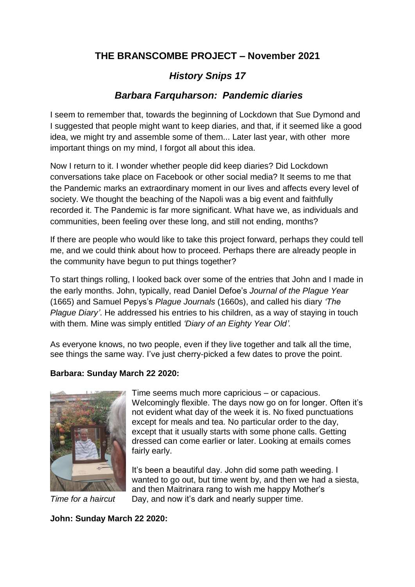# **THE BRANSCOMBE PROJECT – November 2021**

# *History Snips 17*

# *Barbara Farquharson: Pandemic diaries*

I seem to remember that, towards the beginning of Lockdown that Sue Dymond and I suggested that people might want to keep diaries, and that, if it seemed like a good idea, we might try and assemble some of them... Later last year, with other more important things on my mind, I forgot all about this idea.

Now I return to it. I wonder whether people did keep diaries? Did Lockdown conversations take place on Facebook or other social media? It seems to me that the Pandemic marks an extraordinary moment in our lives and affects every level of society. We thought the beaching of the Napoli was a big event and faithfully recorded it. The Pandemic is far more significant. What have we, as individuals and communities, been feeling over these long, and still not ending, months?

If there are people who would like to take this project forward, perhaps they could tell me, and we could think about how to proceed. Perhaps there are already people in the community have begun to put things together?

To start things rolling, I looked back over some of the entries that John and I made in the early months. John, typically, read Daniel Defoe's *Journal of the Plague Year* (1665) and Samuel Pepys's *Plague Journals* (1660s), and called his diary *'The Plague Diary'*. He addressed his entries to his children, as a way of staying in touch with them. Mine was simply entitled *'Diary of an Eighty Year Old'.* 

As everyone knows, no two people, even if they live together and talk all the time, see things the same way. I've just cherry-picked a few dates to prove the point.

#### **Barbara: Sunday March 22 2020:**



Time seems much more capricious – or capacious. Welcomingly flexible. The days now go on for longer. Often it's not evident what day of the week it is. No fixed punctuations except for meals and tea. No particular order to the day, except that it usually starts with some phone calls. Getting dressed can come earlier or later. Looking at emails comes fairly early.

It's been a beautiful day. John did some path weeding. I wanted to go out, but time went by, and then we had a siesta, and then Maitrinara rang to wish me happy Mother's *Time for a haircut* Day, and now it's dark and nearly supper time.

**John: Sunday March 22 2020:**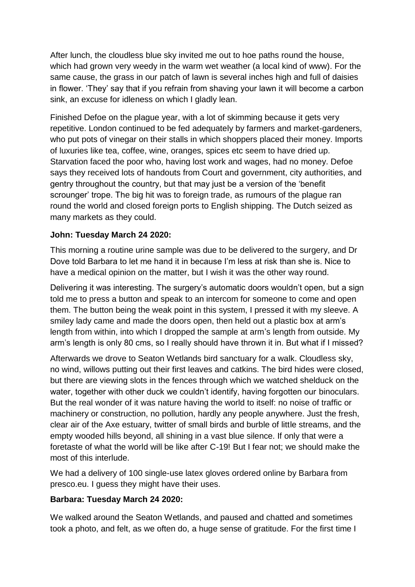After lunch, the cloudless blue sky invited me out to hoe paths round the house, which had grown very weedy in the warm wet weather (a local kind of www). For the same cause, the grass in our patch of lawn is several inches high and full of daisies in flower. 'They' say that if you refrain from shaving your lawn it will become a carbon sink, an excuse for idleness on which I gladly lean.

Finished Defoe on the plague year, with a lot of skimming because it gets very repetitive. London continued to be fed adequately by farmers and market-gardeners, who put pots of vinegar on their stalls in which shoppers placed their money. Imports of luxuries like tea, coffee, wine, oranges, spices etc seem to have dried up. Starvation faced the poor who, having lost work and wages, had no money. Defoe says they received lots of handouts from Court and government, city authorities, and gentry throughout the country, but that may just be a version of the 'benefit scrounger' trope. The big hit was to foreign trade, as rumours of the plague ran round the world and closed foreign ports to English shipping. The Dutch seized as many markets as they could.

### **John: Tuesday March 24 2020:**

This morning a routine urine sample was due to be delivered to the surgery, and Dr Dove told Barbara to let me hand it in because I'm less at risk than she is. Nice to have a medical opinion on the matter, but I wish it was the other way round.

Delivering it was interesting. The surgery's automatic doors wouldn't open, but a sign told me to press a button and speak to an intercom for someone to come and open them. The button being the weak point in this system, I pressed it with my sleeve. A smiley lady came and made the doors open, then held out a plastic box at arm's length from within, into which I dropped the sample at arm's length from outside. My arm's length is only 80 cms, so I really should have thrown it in. But what if I missed?

Afterwards we drove to Seaton Wetlands bird sanctuary for a walk. Cloudless sky, no wind, willows putting out their first leaves and catkins. The bird hides were closed, but there are viewing slots in the fences through which we watched shelduck on the water, together with other duck we couldn't identify, having forgotten our binoculars. But the real wonder of it was nature having the world to itself: no noise of traffic or machinery or construction, no pollution, hardly any people anywhere. Just the fresh, clear air of the Axe estuary, twitter of small birds and burble of little streams, and the empty wooded hills beyond, all shining in a vast blue silence. If only that were a foretaste of what the world will be like after C-19! But I fear not; we should make the most of this interlude.

We had a delivery of 100 single-use latex gloves ordered online by Barbara from presco.eu. I guess they might have their uses.

### **Barbara: Tuesday March 24 2020:**

We walked around the Seaton Wetlands, and paused and chatted and sometimes took a photo, and felt, as we often do, a huge sense of gratitude. For the first time I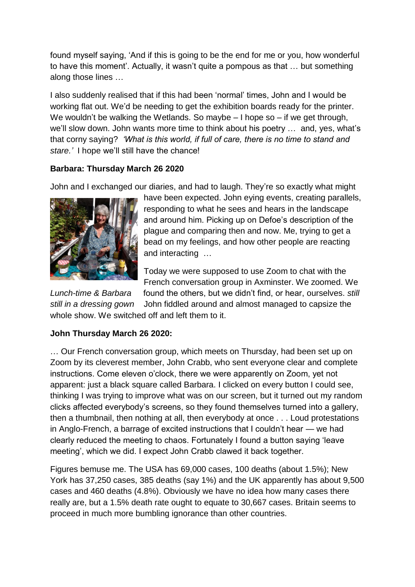found myself saying, 'And if this is going to be the end for me or you, how wonderful to have this moment'. Actually, it wasn't quite a pompous as that … but something along those lines …

I also suddenly realised that if this had been 'normal' times, John and I would be working flat out. We'd be needing to get the exhibition boards ready for the printer. We wouldn't be walking the Wetlands. So maybe – I hope so – if we get through, we'll slow down. John wants more time to think about his poetry … and, yes, what's that corny saying? *'What is this world, if full of care, there is no time to stand and stare.'* I hope we'll still have the chance!

## **Barbara: Thursday March 26 2020**

John and I exchanged our diaries, and had to laugh. They're so exactly what might



have been expected. John eying events, creating parallels, responding to what he sees and hears in the landscape and around him. Picking up on Defoe's description of the plague and comparing then and now. Me, trying to get a bead on my feelings, and how other people are reacting and interacting …

Today we were supposed to use Zoom to chat with the French conversation group in Axminster. We zoomed. We *Lunch-time & Barbara* found the others, but we didn't find, or hear, ourselves. *still still in a dressing gown* John fiddled around and almost managed to capsize the whole show. We switched off and left them to it.

# **John Thursday March 26 2020:**

… Our French conversation group, which meets on Thursday, had been set up on Zoom by its cleverest member, John Crabb, who sent everyone clear and complete instructions. Come eleven o'clock, there we were apparently on Zoom, yet not apparent: just a black square called Barbara. I clicked on every button I could see, thinking I was trying to improve what was on our screen, but it turned out my random clicks affected everybody's screens, so they found themselves turned into a gallery, then a thumbnail, then nothing at all, then everybody at once . . . Loud protestations in Anglo-French, a barrage of excited instructions that I couldn't hear — we had clearly reduced the meeting to chaos. Fortunately I found a button saying 'leave meeting', which we did. I expect John Crabb clawed it back together.

Figures bemuse me. The USA has 69,000 cases, 100 deaths (about 1.5%); New York has 37,250 cases, 385 deaths (say 1%) and the UK apparently has about 9,500 cases and 460 deaths (4.8%). Obviously we have no idea how many cases there really are, but a 1.5% death rate ought to equate to 30,667 cases. Britain seems to proceed in much more bumbling ignorance than other countries.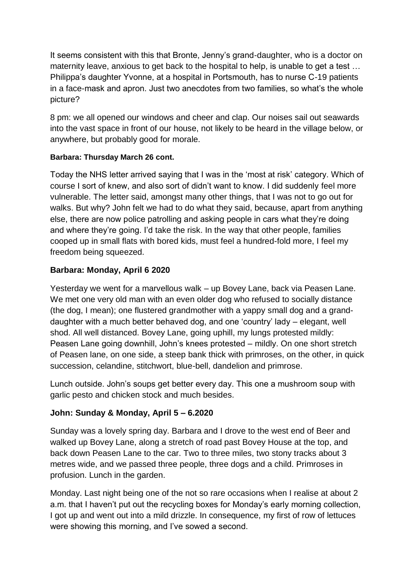It seems consistent with this that Bronte, Jenny's grand-daughter, who is a doctor on maternity leave, anxious to get back to the hospital to help, is unable to get a test … Philippa's daughter Yvonne, at a hospital in Portsmouth, has to nurse C-19 patients in a face-mask and apron. Just two anecdotes from two families, so what's the whole picture?

8 pm: we all opened our windows and cheer and clap. Our noises sail out seawards into the vast space in front of our house, not likely to be heard in the village below, or anywhere, but probably good for morale.

### **Barbara: Thursday March 26 cont.**

Today the NHS letter arrived saying that I was in the 'most at risk' category. Which of course I sort of knew, and also sort of didn't want to know. I did suddenly feel more vulnerable. The letter said, amongst many other things, that I was not to go out for walks. But why? John felt we had to do what they said, because, apart from anything else, there are now police patrolling and asking people in cars what they're doing and where they're going. I'd take the risk. In the way that other people, families cooped up in small flats with bored kids, must feel a hundred-fold more, I feel my freedom being squeezed.

## **Barbara: Monday, April 6 2020**

Yesterday we went for a marvellous walk – up Bovey Lane, back via Peasen Lane. We met one very old man with an even older dog who refused to socially distance (the dog, I mean); one flustered grandmother with a yappy small dog and a granddaughter with a much better behaved dog, and one 'country' lady – elegant, well shod. All well distanced. Bovey Lane, going uphill, my lungs protested mildly: Peasen Lane going downhill, John's knees protested – mildly. On one short stretch of Peasen lane, on one side, a steep bank thick with primroses, on the other, in quick succession, celandine, stitchwort, blue-bell, dandelion and primrose.

Lunch outside. John's soups get better every day. This one a mushroom soup with garlic pesto and chicken stock and much besides.

### **John: Sunday & Monday, April 5 – 6.2020**

Sunday was a lovely spring day. Barbara and I drove to the west end of Beer and walked up Bovey Lane, along a stretch of road past Bovey House at the top, and back down Peasen Lane to the car. Two to three miles, two stony tracks about 3 metres wide, and we passed three people, three dogs and a child. Primroses in profusion. Lunch in the garden.

Monday. Last night being one of the not so rare occasions when I realise at about 2 a.m. that I haven't put out the recycling boxes for Monday's early morning collection, I got up and went out into a mild drizzle. In consequence, my first of row of lettuces were showing this morning, and I've sowed a second.